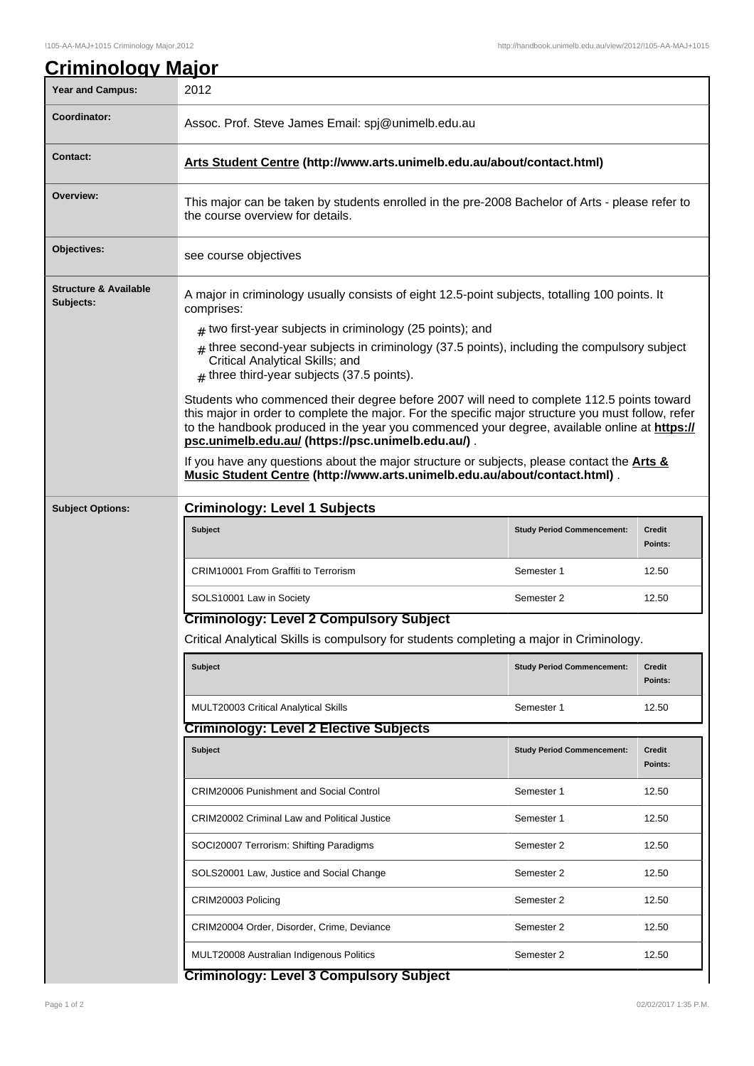| <b>Year and Campus:</b>                       | 2012                                                                                                                                                                                                                                                                                                                                                  |                                   |                          |  |  |
|-----------------------------------------------|-------------------------------------------------------------------------------------------------------------------------------------------------------------------------------------------------------------------------------------------------------------------------------------------------------------------------------------------------------|-----------------------------------|--------------------------|--|--|
| Coordinator:                                  | Assoc. Prof. Steve James Email: spj@unimelb.edu.au                                                                                                                                                                                                                                                                                                    |                                   |                          |  |  |
| <b>Contact:</b>                               | Arts Student Centre (http://www.arts.unimelb.edu.au/about/contact.html)                                                                                                                                                                                                                                                                               |                                   |                          |  |  |
| Overview:                                     | This major can be taken by students enrolled in the pre-2008 Bachelor of Arts - please refer to<br>the course overview for details.                                                                                                                                                                                                                   |                                   |                          |  |  |
| Objectives:                                   | see course objectives                                                                                                                                                                                                                                                                                                                                 |                                   |                          |  |  |
| <b>Structure &amp; Available</b><br>Subjects: | A major in criminology usually consists of eight 12.5-point subjects, totalling 100 points. It<br>comprises:                                                                                                                                                                                                                                          |                                   |                          |  |  |
|                                               | $#$ two first-year subjects in criminology (25 points); and                                                                                                                                                                                                                                                                                           |                                   |                          |  |  |
|                                               | $_{\text{\#}}$ three second-year subjects in criminology (37.5 points), including the compulsory subject<br>Critical Analytical Skills; and<br>$#$ three third-year subjects (37.5 points).                                                                                                                                                           |                                   |                          |  |  |
|                                               | Students who commenced their degree before 2007 will need to complete 112.5 points toward<br>this major in order to complete the major. For the specific major structure you must follow, refer<br>to the handbook produced in the year you commenced your degree, available online at https://<br>psc.unimelb.edu.au/ (https://psc.unimelb.edu.au/). |                                   |                          |  |  |
|                                               | If you have any questions about the major structure or subjects, please contact the <b>Arts &amp;</b><br>Music Student Centre (http://www.arts.unimelb.edu.au/about/contact.html).                                                                                                                                                                    |                                   |                          |  |  |
| <b>Subject Options:</b>                       | <b>Criminology: Level 1 Subjects</b>                                                                                                                                                                                                                                                                                                                  |                                   |                          |  |  |
|                                               | <b>Subject</b>                                                                                                                                                                                                                                                                                                                                        | <b>Study Period Commencement:</b> | <b>Credit</b><br>Points: |  |  |
|                                               | CRIM10001 From Graffiti to Terrorism                                                                                                                                                                                                                                                                                                                  | Semester 1                        | 12.50                    |  |  |
|                                               | SOLS10001 Law in Society                                                                                                                                                                                                                                                                                                                              | Semester 2                        | 12.50                    |  |  |
|                                               | <b>Criminology: Level 2 Compulsory Subject</b>                                                                                                                                                                                                                                                                                                        |                                   |                          |  |  |
|                                               | Critical Analytical Skills is compulsory for students completing a major in Criminology.                                                                                                                                                                                                                                                              |                                   |                          |  |  |
|                                               | <b>Subject</b>                                                                                                                                                                                                                                                                                                                                        | <b>Study Period Commencement:</b> | Credit<br>Points:        |  |  |
|                                               | <b>MULT20003 Critical Analytical Skills</b>                                                                                                                                                                                                                                                                                                           | Semester 1                        | 12.50                    |  |  |
|                                               | <b>Criminology: Level 2 Elective Subjects</b>                                                                                                                                                                                                                                                                                                         |                                   |                          |  |  |
|                                               | Subject                                                                                                                                                                                                                                                                                                                                               | <b>Study Period Commencement:</b> | Credit<br>Points:        |  |  |
|                                               | <b>CRIM20006 Punishment and Social Control</b>                                                                                                                                                                                                                                                                                                        | Semester 1                        | 12.50                    |  |  |
|                                               | <b>CRIM20002 Criminal Law and Political Justice</b>                                                                                                                                                                                                                                                                                                   | Semester 1                        | 12.50                    |  |  |
|                                               | SOCI20007 Terrorism: Shifting Paradigms                                                                                                                                                                                                                                                                                                               | Semester 2                        | 12.50                    |  |  |
|                                               | SOLS20001 Law, Justice and Social Change                                                                                                                                                                                                                                                                                                              | Semester 2                        | 12.50                    |  |  |
|                                               | CRIM20003 Policing                                                                                                                                                                                                                                                                                                                                    | Semester 2                        | 12.50                    |  |  |
|                                               | CRIM20004 Order, Disorder, Crime, Deviance                                                                                                                                                                                                                                                                                                            | Semester 2                        | 12.50                    |  |  |
|                                               | MULT20008 Australian Indigenous Politics                                                                                                                                                                                                                                                                                                              | Semester 2                        | 12.50                    |  |  |
|                                               | <b>Criminology: Level 3 Compulsory Subject</b>                                                                                                                                                                                                                                                                                                        |                                   |                          |  |  |

## **Criminology: Level 3 Compulsory Subject**